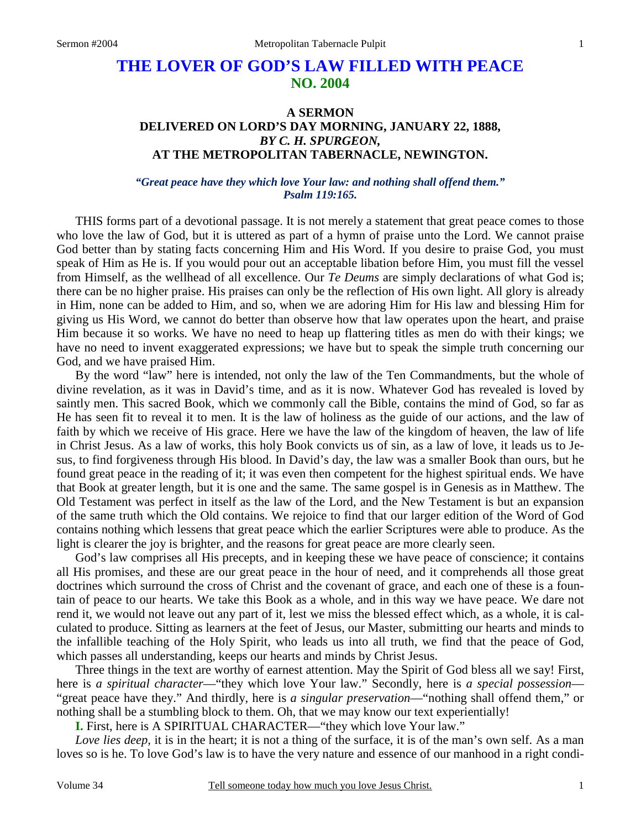# **THE LOVER OF GOD'S LAW FILLED WITH PEACE NO. 2004**

### **A SERMON DELIVERED ON LORD'S DAY MORNING, JANUARY 22, 1888,**  *BY C. H. SPURGEON,*  **AT THE METROPOLITAN TABERNACLE, NEWINGTON.**

*"Great peace have they which love Your law: and nothing shall offend them." Psalm 119:165.* 

THIS forms part of a devotional passage. It is not merely a statement that great peace comes to those who love the law of God, but it is uttered as part of a hymn of praise unto the Lord. We cannot praise God better than by stating facts concerning Him and His Word. If you desire to praise God, you must speak of Him as He is. If you would pour out an acceptable libation before Him, you must fill the vessel from Himself, as the wellhead of all excellence. Our *Te Deums* are simply declarations of what God is; there can be no higher praise. His praises can only be the reflection of His own light. All glory is already in Him, none can be added to Him, and so, when we are adoring Him for His law and blessing Him for giving us His Word, we cannot do better than observe how that law operates upon the heart, and praise Him because it so works. We have no need to heap up flattering titles as men do with their kings; we have no need to invent exaggerated expressions; we have but to speak the simple truth concerning our God, and we have praised Him.

By the word "law" here is intended, not only the law of the Ten Commandments, but the whole of divine revelation, as it was in David's time, and as it is now. Whatever God has revealed is loved by saintly men. This sacred Book, which we commonly call the Bible, contains the mind of God, so far as He has seen fit to reveal it to men. It is the law of holiness as the guide of our actions, and the law of faith by which we receive of His grace. Here we have the law of the kingdom of heaven, the law of life in Christ Jesus. As a law of works, this holy Book convicts us of sin, as a law of love, it leads us to Jesus, to find forgiveness through His blood. In David's day, the law was a smaller Book than ours, but he found great peace in the reading of it; it was even then competent for the highest spiritual ends. We have that Book at greater length, but it is one and the same. The same gospel is in Genesis as in Matthew. The Old Testament was perfect in itself as the law of the Lord, and the New Testament is but an expansion of the same truth which the Old contains. We rejoice to find that our larger edition of the Word of God contains nothing which lessens that great peace which the earlier Scriptures were able to produce. As the light is clearer the joy is brighter, and the reasons for great peace are more clearly seen.

God's law comprises all His precepts, and in keeping these we have peace of conscience; it contains all His promises, and these are our great peace in the hour of need, and it comprehends all those great doctrines which surround the cross of Christ and the covenant of grace, and each one of these is a fountain of peace to our hearts. We take this Book as a whole, and in this way we have peace. We dare not rend it, we would not leave out any part of it, lest we miss the blessed effect which, as a whole, it is calculated to produce. Sitting as learners at the feet of Jesus, our Master, submitting our hearts and minds to the infallible teaching of the Holy Spirit, who leads us into all truth, we find that the peace of God, which passes all understanding, keeps our hearts and minds by Christ Jesus.

Three things in the text are worthy of earnest attention. May the Spirit of God bless all we say! First, here is *a spiritual character*—"they which love Your law." Secondly, here is *a special possession*— "great peace have they." And thirdly, here is *a singular preservation*—"nothing shall offend them," or nothing shall be a stumbling block to them. Oh, that we may know our text experientially!

**I.** First, here is A SPIRITUAL CHARACTER—"they which love Your law."

*Love lies deep*, it is in the heart; it is not a thing of the surface, it is of the man's own self. As a man loves so is he. To love God's law is to have the very nature and essence of our manhood in a right condi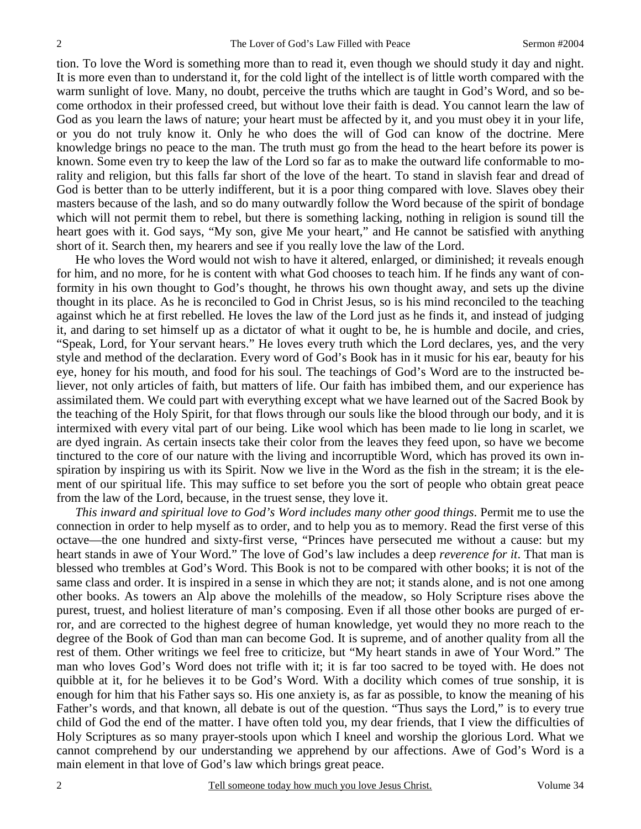tion. To love the Word is something more than to read it, even though we should study it day and night. It is more even than to understand it, for the cold light of the intellect is of little worth compared with the warm sunlight of love. Many, no doubt, perceive the truths which are taught in God's Word, and so become orthodox in their professed creed, but without love their faith is dead. You cannot learn the law of God as you learn the laws of nature; your heart must be affected by it, and you must obey it in your life, or you do not truly know it. Only he who does the will of God can know of the doctrine. Mere knowledge brings no peace to the man. The truth must go from the head to the heart before its power is known. Some even try to keep the law of the Lord so far as to make the outward life conformable to morality and religion, but this falls far short of the love of the heart. To stand in slavish fear and dread of God is better than to be utterly indifferent, but it is a poor thing compared with love. Slaves obey their masters because of the lash, and so do many outwardly follow the Word because of the spirit of bondage which will not permit them to rebel, but there is something lacking, nothing in religion is sound till the heart goes with it. God says, "My son, give Me your heart," and He cannot be satisfied with anything short of it. Search then, my hearers and see if you really love the law of the Lord.

He who loves the Word would not wish to have it altered, enlarged, or diminished; it reveals enough for him, and no more, for he is content with what God chooses to teach him. If he finds any want of conformity in his own thought to God's thought, he throws his own thought away, and sets up the divine thought in its place. As he is reconciled to God in Christ Jesus, so is his mind reconciled to the teaching against which he at first rebelled. He loves the law of the Lord just as he finds it, and instead of judging it, and daring to set himself up as a dictator of what it ought to be, he is humble and docile, and cries, "Speak, Lord, for Your servant hears." He loves every truth which the Lord declares, yes, and the very style and method of the declaration. Every word of God's Book has in it music for his ear, beauty for his eye, honey for his mouth, and food for his soul. The teachings of God's Word are to the instructed believer, not only articles of faith, but matters of life. Our faith has imbibed them, and our experience has assimilated them. We could part with everything except what we have learned out of the Sacred Book by the teaching of the Holy Spirit, for that flows through our souls like the blood through our body, and it is intermixed with every vital part of our being. Like wool which has been made to lie long in scarlet, we are dyed ingrain. As certain insects take their color from the leaves they feed upon, so have we become tinctured to the core of our nature with the living and incorruptible Word, which has proved its own inspiration by inspiring us with its Spirit. Now we live in the Word as the fish in the stream; it is the element of our spiritual life. This may suffice to set before you the sort of people who obtain great peace from the law of the Lord, because, in the truest sense, they love it.

*This inward and spiritual love to God's Word includes many other good things*. Permit me to use the connection in order to help myself as to order, and to help you as to memory. Read the first verse of this octave—the one hundred and sixty-first verse, "Princes have persecuted me without a cause: but my heart stands in awe of Your Word." The love of God's law includes a deep *reverence for it*. That man is blessed who trembles at God's Word. This Book is not to be compared with other books; it is not of the same class and order. It is inspired in a sense in which they are not; it stands alone, and is not one among other books. As towers an Alp above the molehills of the meadow, so Holy Scripture rises above the purest, truest, and holiest literature of man's composing. Even if all those other books are purged of error, and are corrected to the highest degree of human knowledge, yet would they no more reach to the degree of the Book of God than man can become God. It is supreme, and of another quality from all the rest of them. Other writings we feel free to criticize, but "My heart stands in awe of Your Word." The man who loves God's Word does not trifle with it; it is far too sacred to be toyed with. He does not quibble at it, for he believes it to be God's Word. With a docility which comes of true sonship, it is enough for him that his Father says so. His one anxiety is, as far as possible, to know the meaning of his Father's words, and that known, all debate is out of the question. "Thus says the Lord," is to every true child of God the end of the matter. I have often told you, my dear friends, that I view the difficulties of Holy Scriptures as so many prayer-stools upon which I kneel and worship the glorious Lord. What we cannot comprehend by our understanding we apprehend by our affections. Awe of God's Word is a main element in that love of God's law which brings great peace.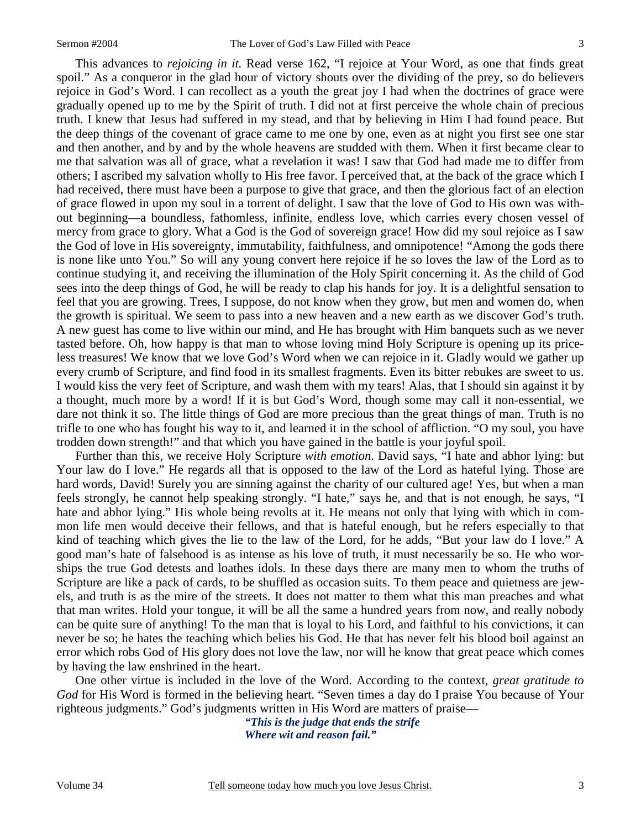This advances to *rejoicing in it.* Read verse 162, "I rejoice at Your Word, as one that finds great spoil." As a conqueror in the glad hour of victory shouts over the dividing of the prey, so do believers rejoice in God's Word. I can recollect as a youth the great joy I had when the doctrines of grace were gradually opened up to me by the Spirit of truth. I did not at first perceive the whole chain of precious truth. I knew that Jesus had suffered in my stead, and that by believing in Him I had found peace. But the deep things of the covenant of grace came to me one by one, even as at night you first see one star and then another, and by and by the whole heavens are studded with them. When it first became clear to me that salvation was all of grace, what a revelation it was! I saw that God had made me to differ from others; I ascribed my salvation wholly to His free favor. I perceived that, at the back of the grace which I had received, there must have been a purpose to give that grace, and then the glorious fact of an election of grace flowed in upon my soul in a torrent of delight. I saw that the love of God to His own was without beginning—a boundless, fathomless, infinite, endless love, which carries every chosen vessel of mercy from grace to glory. What a God is the God of sovereign grace! How did my soul rejoice as I saw the God of love in His sovereignty, immutability, faithfulness, and omnipotence! "Among the gods there is none like unto You." So will any young convert here rejoice if he so loves the law of the Lord as to continue studying it, and receiving the illumination of the Holy Spirit concerning it. As the child of God sees into the deep things of God, he will be ready to clap his hands for joy. It is a delightful sensation to feel that you are growing. Trees, I suppose, do not know when they grow, but men and women do, when the growth is spiritual. We seem to pass into a new heaven and a new earth as we discover God's truth. A new guest has come to live within our mind, and He has brought with Him banquets such as we never tasted before. Oh, how happy is that man to whose loving mind Holy Scripture is opening up its priceless treasures! We know that we love God's Word when we can rejoice in it. Gladly would we gather up every crumb of Scripture, and find food in its smallest fragments. Even its bitter rebukes are sweet to us. I would kiss the very feet of Scripture, and wash them with my tears! Alas, that I should sin against it by a thought, much more by a word! If it is but God's Word, though some may call it non-essential, we dare not think it so. The little things of God are more precious than the great things of man. Truth is no trifle to one who has fought his way to it, and learned it in the school of affliction. "O my soul, you have trodden down strength!" and that which you have gained in the battle is your joyful spoil.

Further than this, we receive Holy Scripture *with emotion*. David says, "I hate and abhor lying: but Your law do I love." He regards all that is opposed to the law of the Lord as hateful lying. Those are hard words, David! Surely you are sinning against the charity of our cultured age! Yes, but when a man feels strongly, he cannot help speaking strongly. "I hate," says he, and that is not enough, he says, "I hate and abhor lying." His whole being revolts at it. He means not only that lying with which in common life men would deceive their fellows, and that is hateful enough, but he refers especially to that kind of teaching which gives the lie to the law of the Lord, for he adds, "But your law do I love." A good man's hate of falsehood is as intense as his love of truth, it must necessarily be so. He who worships the true God detests and loathes idols. In these days there are many men to whom the truths of Scripture are like a pack of cards, to be shuffled as occasion suits. To them peace and quietness are jewels, and truth is as the mire of the streets. It does not matter to them what this man preaches and what that man writes. Hold your tongue, it will be all the same a hundred years from now, and really nobody can be quite sure of anything! To the man that is loyal to his Lord, and faithful to his convictions, it can never be so; he hates the teaching which belies his God. He that has never felt his blood boil against an error which robs God of His glory does not love the law, nor will he know that great peace which comes by having the law enshrined in the heart.

One other virtue is included in the love of the Word. According to the context, *great gratitude to God* for His Word is formed in the believing heart. "Seven times a day do I praise You because of Your righteous judgments." God's judgments written in His Word are matters of praise—

> *"This is the judge that ends the strife Where wit and reason fail."*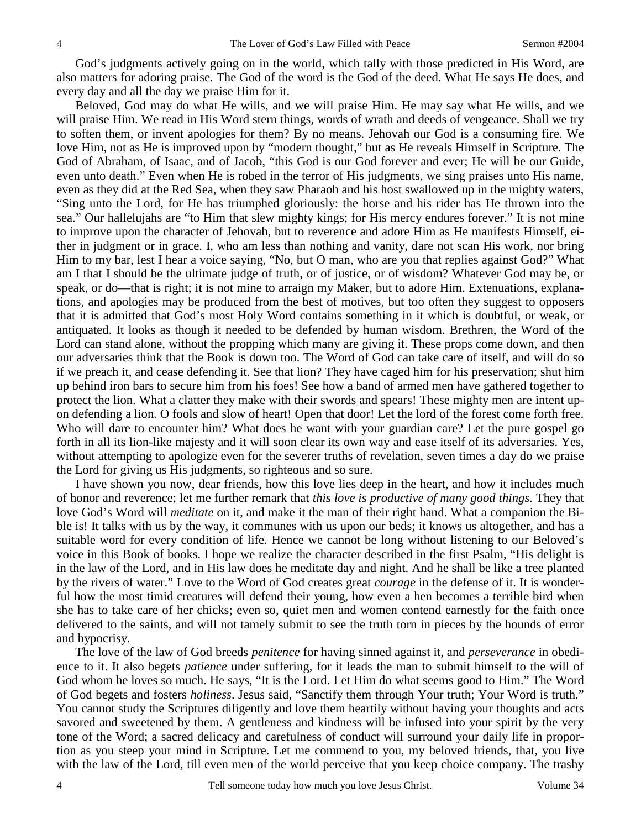God's judgments actively going on in the world, which tally with those predicted in His Word, are also matters for adoring praise. The God of the word is the God of the deed. What He says He does, and every day and all the day we praise Him for it.

Beloved, God may do what He wills, and we will praise Him. He may say what He wills, and we will praise Him. We read in His Word stern things, words of wrath and deeds of vengeance. Shall we try to soften them, or invent apologies for them? By no means. Jehovah our God is a consuming fire. We love Him, not as He is improved upon by "modern thought," but as He reveals Himself in Scripture. The God of Abraham, of Isaac, and of Jacob, "this God is our God forever and ever; He will be our Guide, even unto death." Even when He is robed in the terror of His judgments, we sing praises unto His name, even as they did at the Red Sea, when they saw Pharaoh and his host swallowed up in the mighty waters, "Sing unto the Lord, for He has triumphed gloriously: the horse and his rider has He thrown into the sea." Our hallelujahs are "to Him that slew mighty kings; for His mercy endures forever." It is not mine to improve upon the character of Jehovah, but to reverence and adore Him as He manifests Himself, either in judgment or in grace. I, who am less than nothing and vanity, dare not scan His work, nor bring Him to my bar, lest I hear a voice saying, "No, but O man, who are you that replies against God?" What am I that I should be the ultimate judge of truth, or of justice, or of wisdom? Whatever God may be, or speak, or do—that is right; it is not mine to arraign my Maker, but to adore Him. Extenuations, explanations, and apologies may be produced from the best of motives, but too often they suggest to opposers that it is admitted that God's most Holy Word contains something in it which is doubtful, or weak, or antiquated. It looks as though it needed to be defended by human wisdom. Brethren, the Word of the Lord can stand alone, without the propping which many are giving it. These props come down, and then our adversaries think that the Book is down too. The Word of God can take care of itself, and will do so if we preach it, and cease defending it. See that lion? They have caged him for his preservation; shut him up behind iron bars to secure him from his foes! See how a band of armed men have gathered together to protect the lion. What a clatter they make with their swords and spears! These mighty men are intent upon defending a lion. O fools and slow of heart! Open that door! Let the lord of the forest come forth free. Who will dare to encounter him? What does he want with your guardian care? Let the pure gospel go forth in all its lion-like majesty and it will soon clear its own way and ease itself of its adversaries. Yes, without attempting to apologize even for the severer truths of revelation, seven times a day do we praise the Lord for giving us His judgments, so righteous and so sure.

I have shown you now, dear friends, how this love lies deep in the heart, and how it includes much of honor and reverence; let me further remark that *this love is productive of many good things*. They that love God's Word will *meditate* on it, and make it the man of their right hand. What a companion the Bible is! It talks with us by the way, it communes with us upon our beds; it knows us altogether, and has a suitable word for every condition of life. Hence we cannot be long without listening to our Beloved's voice in this Book of books. I hope we realize the character described in the first Psalm, "His delight is in the law of the Lord, and in His law does he meditate day and night. And he shall be like a tree planted by the rivers of water." Love to the Word of God creates great *courage* in the defense of it. It is wonderful how the most timid creatures will defend their young, how even a hen becomes a terrible bird when she has to take care of her chicks; even so, quiet men and women contend earnestly for the faith once delivered to the saints, and will not tamely submit to see the truth torn in pieces by the hounds of error and hypocrisy.

The love of the law of God breeds *penitence* for having sinned against it, and *perseverance* in obedience to it. It also begets *patience* under suffering, for it leads the man to submit himself to the will of God whom he loves so much. He says, "It is the Lord. Let Him do what seems good to Him." The Word of God begets and fosters *holiness*. Jesus said, "Sanctify them through Your truth; Your Word is truth." You cannot study the Scriptures diligently and love them heartily without having your thoughts and acts savored and sweetened by them. A gentleness and kindness will be infused into your spirit by the very tone of the Word; a sacred delicacy and carefulness of conduct will surround your daily life in proportion as you steep your mind in Scripture. Let me commend to you, my beloved friends, that, you live with the law of the Lord, till even men of the world perceive that you keep choice company. The trashy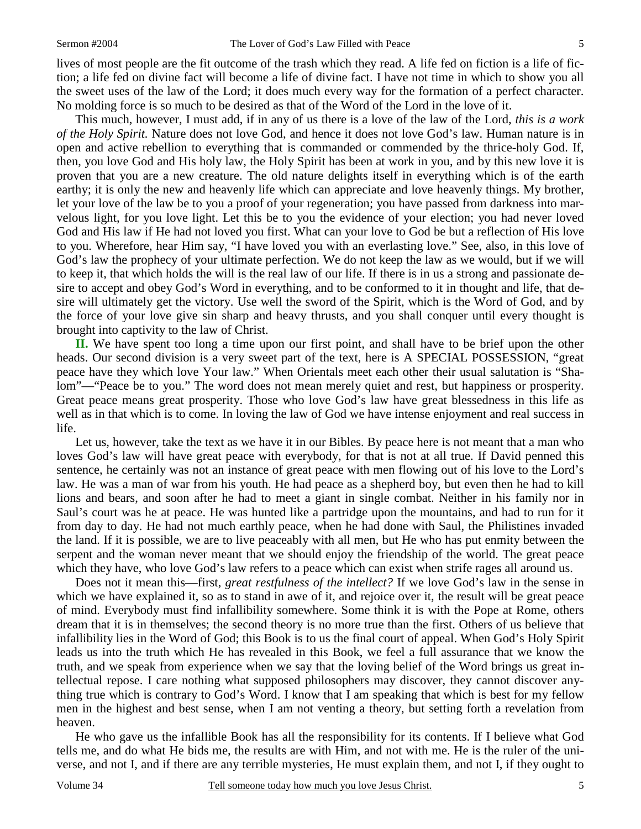lives of most people are the fit outcome of the trash which they read. A life fed on fiction is a life of fiction; a life fed on divine fact will become a life of divine fact. I have not time in which to show you all the sweet uses of the law of the Lord; it does much every way for the formation of a perfect character. No molding force is so much to be desired as that of the Word of the Lord in the love of it.

This much, however, I must add, if in any of us there is a love of the law of the Lord, *this is a work of the Holy Spirit.* Nature does not love God, and hence it does not love God's law. Human nature is in open and active rebellion to everything that is commanded or commended by the thrice-holy God. If, then, you love God and His holy law, the Holy Spirit has been at work in you, and by this new love it is proven that you are a new creature. The old nature delights itself in everything which is of the earth earthy; it is only the new and heavenly life which can appreciate and love heavenly things. My brother, let your love of the law be to you a proof of your regeneration; you have passed from darkness into marvelous light, for you love light. Let this be to you the evidence of your election; you had never loved God and His law if He had not loved you first. What can your love to God be but a reflection of His love to you. Wherefore, hear Him say, "I have loved you with an everlasting love." See, also, in this love of God's law the prophecy of your ultimate perfection. We do not keep the law as we would, but if we will to keep it, that which holds the will is the real law of our life. If there is in us a strong and passionate desire to accept and obey God's Word in everything, and to be conformed to it in thought and life, that desire will ultimately get the victory. Use well the sword of the Spirit, which is the Word of God, and by the force of your love give sin sharp and heavy thrusts, and you shall conquer until every thought is brought into captivity to the law of Christ.

**II.** We have spent too long a time upon our first point, and shall have to be brief upon the other heads. Our second division is a very sweet part of the text, here is A SPECIAL POSSESSION, "great peace have they which love Your law." When Orientals meet each other their usual salutation is "Shalom"—"Peace be to you." The word does not mean merely quiet and rest, but happiness or prosperity. Great peace means great prosperity. Those who love God's law have great blessedness in this life as well as in that which is to come. In loving the law of God we have intense enjoyment and real success in life.

Let us, however, take the text as we have it in our Bibles. By peace here is not meant that a man who loves God's law will have great peace with everybody, for that is not at all true. If David penned this sentence, he certainly was not an instance of great peace with men flowing out of his love to the Lord's law. He was a man of war from his youth. He had peace as a shepherd boy, but even then he had to kill lions and bears, and soon after he had to meet a giant in single combat. Neither in his family nor in Saul's court was he at peace. He was hunted like a partridge upon the mountains, and had to run for it from day to day. He had not much earthly peace, when he had done with Saul, the Philistines invaded the land. If it is possible, we are to live peaceably with all men, but He who has put enmity between the serpent and the woman never meant that we should enjoy the friendship of the world. The great peace which they have, who love God's law refers to a peace which can exist when strife rages all around us.

Does not it mean this—first, *great restfulness of the intellect?* If we love God's law in the sense in which we have explained it, so as to stand in awe of it, and rejoice over it, the result will be great peace of mind. Everybody must find infallibility somewhere. Some think it is with the Pope at Rome, others dream that it is in themselves; the second theory is no more true than the first. Others of us believe that infallibility lies in the Word of God; this Book is to us the final court of appeal. When God's Holy Spirit leads us into the truth which He has revealed in this Book, we feel a full assurance that we know the truth, and we speak from experience when we say that the loving belief of the Word brings us great intellectual repose. I care nothing what supposed philosophers may discover, they cannot discover anything true which is contrary to God's Word. I know that I am speaking that which is best for my fellow men in the highest and best sense, when I am not venting a theory, but setting forth a revelation from heaven.

He who gave us the infallible Book has all the responsibility for its contents. If I believe what God tells me, and do what He bids me, the results are with Him, and not with me. He is the ruler of the universe, and not I, and if there are any terrible mysteries, He must explain them, and not I, if they ought to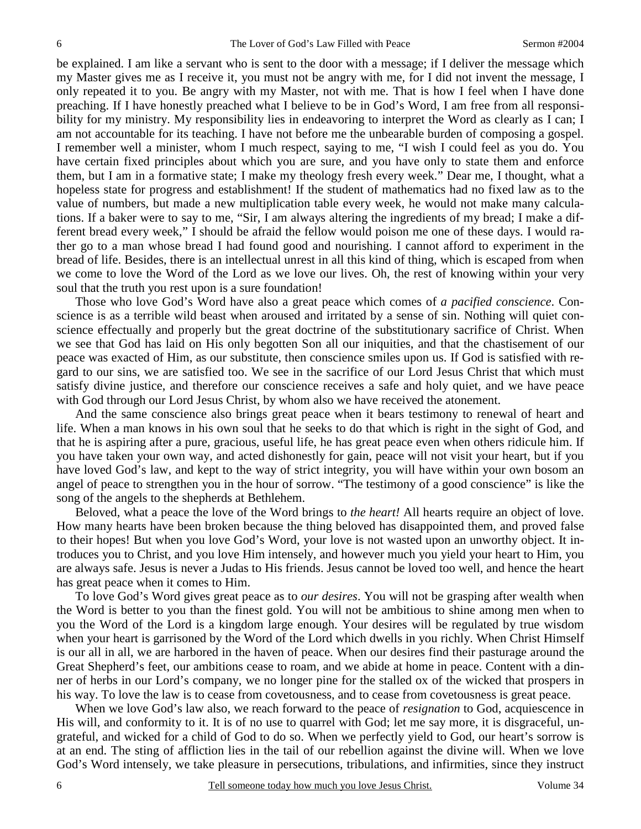be explained. I am like a servant who is sent to the door with a message; if I deliver the message which my Master gives me as I receive it, you must not be angry with me, for I did not invent the message, I only repeated it to you. Be angry with my Master, not with me. That is how I feel when I have done preaching. If I have honestly preached what I believe to be in God's Word, I am free from all responsibility for my ministry. My responsibility lies in endeavoring to interpret the Word as clearly as I can; I am not accountable for its teaching. I have not before me the unbearable burden of composing a gospel. I remember well a minister, whom I much respect, saying to me, "I wish I could feel as you do. You have certain fixed principles about which you are sure, and you have only to state them and enforce them, but I am in a formative state; I make my theology fresh every week." Dear me, I thought, what a hopeless state for progress and establishment! If the student of mathematics had no fixed law as to the value of numbers, but made a new multiplication table every week, he would not make many calculations. If a baker were to say to me, "Sir, I am always altering the ingredients of my bread; I make a different bread every week," I should be afraid the fellow would poison me one of these days. I would rather go to a man whose bread I had found good and nourishing. I cannot afford to experiment in the bread of life. Besides, there is an intellectual unrest in all this kind of thing, which is escaped from when we come to love the Word of the Lord as we love our lives. Oh, the rest of knowing within your very soul that the truth you rest upon is a sure foundation!

Those who love God's Word have also a great peace which comes of *a pacified conscience*. Conscience is as a terrible wild beast when aroused and irritated by a sense of sin. Nothing will quiet conscience effectually and properly but the great doctrine of the substitutionary sacrifice of Christ. When we see that God has laid on His only begotten Son all our iniquities, and that the chastisement of our peace was exacted of Him, as our substitute, then conscience smiles upon us. If God is satisfied with regard to our sins, we are satisfied too. We see in the sacrifice of our Lord Jesus Christ that which must satisfy divine justice, and therefore our conscience receives a safe and holy quiet, and we have peace with God through our Lord Jesus Christ, by whom also we have received the atonement.

And the same conscience also brings great peace when it bears testimony to renewal of heart and life. When a man knows in his own soul that he seeks to do that which is right in the sight of God, and that he is aspiring after a pure, gracious, useful life, he has great peace even when others ridicule him. If you have taken your own way, and acted dishonestly for gain, peace will not visit your heart, but if you have loved God's law, and kept to the way of strict integrity, you will have within your own bosom an angel of peace to strengthen you in the hour of sorrow. "The testimony of a good conscience" is like the song of the angels to the shepherds at Bethlehem.

Beloved, what a peace the love of the Word brings to *the heart!* All hearts require an object of love. How many hearts have been broken because the thing beloved has disappointed them, and proved false to their hopes! But when you love God's Word, your love is not wasted upon an unworthy object. It introduces you to Christ, and you love Him intensely, and however much you yield your heart to Him, you are always safe. Jesus is never a Judas to His friends. Jesus cannot be loved too well, and hence the heart has great peace when it comes to Him.

To love God's Word gives great peace as to *our desires*. You will not be grasping after wealth when the Word is better to you than the finest gold. You will not be ambitious to shine among men when to you the Word of the Lord is a kingdom large enough. Your desires will be regulated by true wisdom when your heart is garrisoned by the Word of the Lord which dwells in you richly. When Christ Himself is our all in all, we are harbored in the haven of peace. When our desires find their pasturage around the Great Shepherd's feet, our ambitions cease to roam, and we abide at home in peace. Content with a dinner of herbs in our Lord's company, we no longer pine for the stalled ox of the wicked that prospers in his way. To love the law is to cease from covetousness, and to cease from covetousness is great peace.

When we love God's law also, we reach forward to the peace of *resignation* to God, acquiescence in His will, and conformity to it. It is of no use to quarrel with God; let me say more, it is disgraceful, ungrateful, and wicked for a child of God to do so. When we perfectly yield to God, our heart's sorrow is at an end. The sting of affliction lies in the tail of our rebellion against the divine will. When we love God's Word intensely, we take pleasure in persecutions, tribulations, and infirmities, since they instruct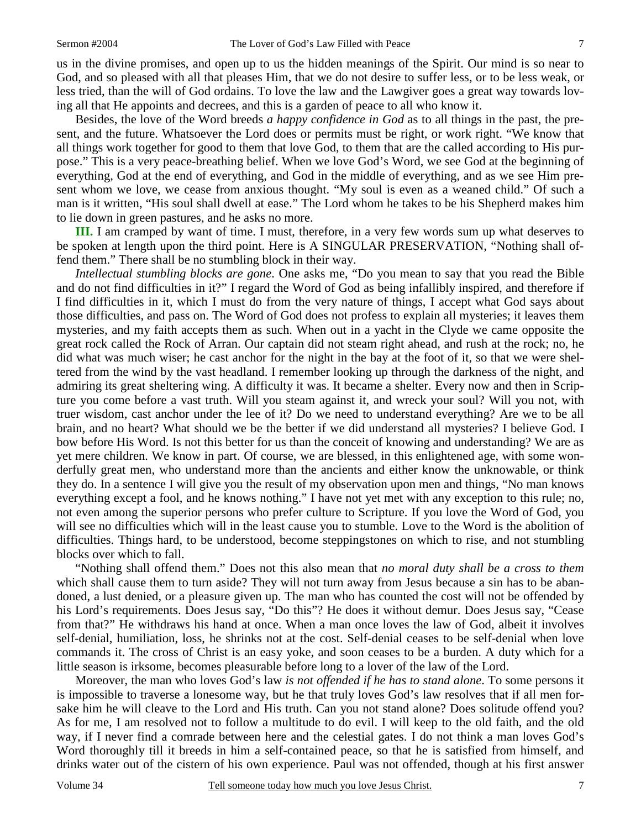us in the divine promises, and open up to us the hidden meanings of the Spirit. Our mind is so near to God, and so pleased with all that pleases Him, that we do not desire to suffer less, or to be less weak, or less tried, than the will of God ordains. To love the law and the Lawgiver goes a great way towards loving all that He appoints and decrees, and this is a garden of peace to all who know it.

Besides, the love of the Word breeds *a happy confidence in God* as to all things in the past, the present, and the future. Whatsoever the Lord does or permits must be right, or work right. "We know that all things work together for good to them that love God, to them that are the called according to His purpose." This is a very peace-breathing belief. When we love God's Word, we see God at the beginning of everything, God at the end of everything, and God in the middle of everything, and as we see Him present whom we love, we cease from anxious thought. "My soul is even as a weaned child." Of such a man is it written, "His soul shall dwell at ease." The Lord whom he takes to be his Shepherd makes him to lie down in green pastures, and he asks no more.

**III.** I am cramped by want of time. I must, therefore, in a very few words sum up what deserves to be spoken at length upon the third point. Here is A SINGULAR PRESERVATION, "Nothing shall offend them." There shall be no stumbling block in their way.

*Intellectual stumbling blocks are gone*. One asks me, "Do you mean to say that you read the Bible and do not find difficulties in it?" I regard the Word of God as being infallibly inspired, and therefore if I find difficulties in it, which I must do from the very nature of things, I accept what God says about those difficulties, and pass on. The Word of God does not profess to explain all mysteries; it leaves them mysteries, and my faith accepts them as such. When out in a yacht in the Clyde we came opposite the great rock called the Rock of Arran. Our captain did not steam right ahead, and rush at the rock; no, he did what was much wiser; he cast anchor for the night in the bay at the foot of it, so that we were sheltered from the wind by the vast headland. I remember looking up through the darkness of the night, and admiring its great sheltering wing. A difficulty it was. It became a shelter. Every now and then in Scripture you come before a vast truth. Will you steam against it, and wreck your soul? Will you not, with truer wisdom, cast anchor under the lee of it? Do we need to understand everything? Are we to be all brain, and no heart? What should we be the better if we did understand all mysteries? I believe God. I bow before His Word. Is not this better for us than the conceit of knowing and understanding? We are as yet mere children. We know in part. Of course, we are blessed, in this enlightened age, with some wonderfully great men, who understand more than the ancients and either know the unknowable, or think they do. In a sentence I will give you the result of my observation upon men and things, "No man knows everything except a fool, and he knows nothing." I have not yet met with any exception to this rule; no, not even among the superior persons who prefer culture to Scripture. If you love the Word of God, you will see no difficulties which will in the least cause you to stumble. Love to the Word is the abolition of difficulties. Things hard, to be understood, become steppingstones on which to rise, and not stumbling blocks over which to fall.

"Nothing shall offend them." Does not this also mean that *no moral duty shall be a cross to them* which shall cause them to turn aside? They will not turn away from Jesus because a sin has to be abandoned, a lust denied, or a pleasure given up. The man who has counted the cost will not be offended by his Lord's requirements. Does Jesus say, "Do this"? He does it without demur. Does Jesus say, "Cease from that?" He withdraws his hand at once. When a man once loves the law of God, albeit it involves self-denial, humiliation, loss, he shrinks not at the cost. Self-denial ceases to be self-denial when love commands it. The cross of Christ is an easy yoke, and soon ceases to be a burden. A duty which for a little season is irksome, becomes pleasurable before long to a lover of the law of the Lord.

Moreover, the man who loves God's law *is not offended if he has to stand alone*. To some persons it is impossible to traverse a lonesome way, but he that truly loves God's law resolves that if all men forsake him he will cleave to the Lord and His truth. Can you not stand alone? Does solitude offend you? As for me, I am resolved not to follow a multitude to do evil. I will keep to the old faith, and the old way, if I never find a comrade between here and the celestial gates. I do not think a man loves God's Word thoroughly till it breeds in him a self-contained peace, so that he is satisfied from himself, and drinks water out of the cistern of his own experience. Paul was not offended, though at his first answer